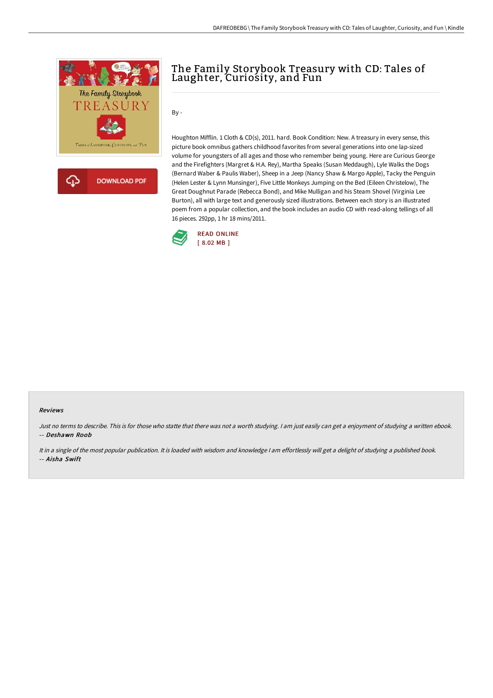

क़ **DOWNLOAD PDF** 

# The Family Storybook Treasury with CD: Tales of Laughter, Curiosity, and Fun

By -

Houghton Mifflin. 1 Cloth & CD(s), 2011. hard. Book Condition: New. A treasury in every sense, this picture book omnibus gathers childhood favorites from several generations into one lap-sized volume for youngsters of all ages and those who remember being young. Here are Curious George and the Firefighters (Margret & H.A. Rey), Martha Speaks (Susan Meddaugh), Lyle Walks the Dogs (Bernard Waber & Paulis Waber), Sheep in a Jeep (Nancy Shaw & Margo Apple), Tacky the Penguin (Helen Lester & Lynn Munsinger), Five Little Monkeys Jumping on the Bed (Eileen Christelow), The Great Doughnut Parade (Rebecca Bond), and Mike Mulligan and his Steam Shovel (Virginia Lee Burton), all with large text and generously sized illustrations. Between each story is an illustrated poem from a popular collection, and the book includes an audio CD with read-along tellings of all 16 pieces. 292pp, 1 hr 18 mins/2011.



#### Reviews

Just no terms to describe. This is for those who statte that there was not <sup>a</sup> worth studying. <sup>I</sup> am just easily can get <sup>a</sup> enjoyment of studying <sup>a</sup> written ebook. -- Deshawn Roob

It in <sup>a</sup> single of the most popular publication. It is loaded with wisdom and knowledge <sup>I</sup> am effortlessly will get <sup>a</sup> delight of studying <sup>a</sup> published book. -- Aisha Swift